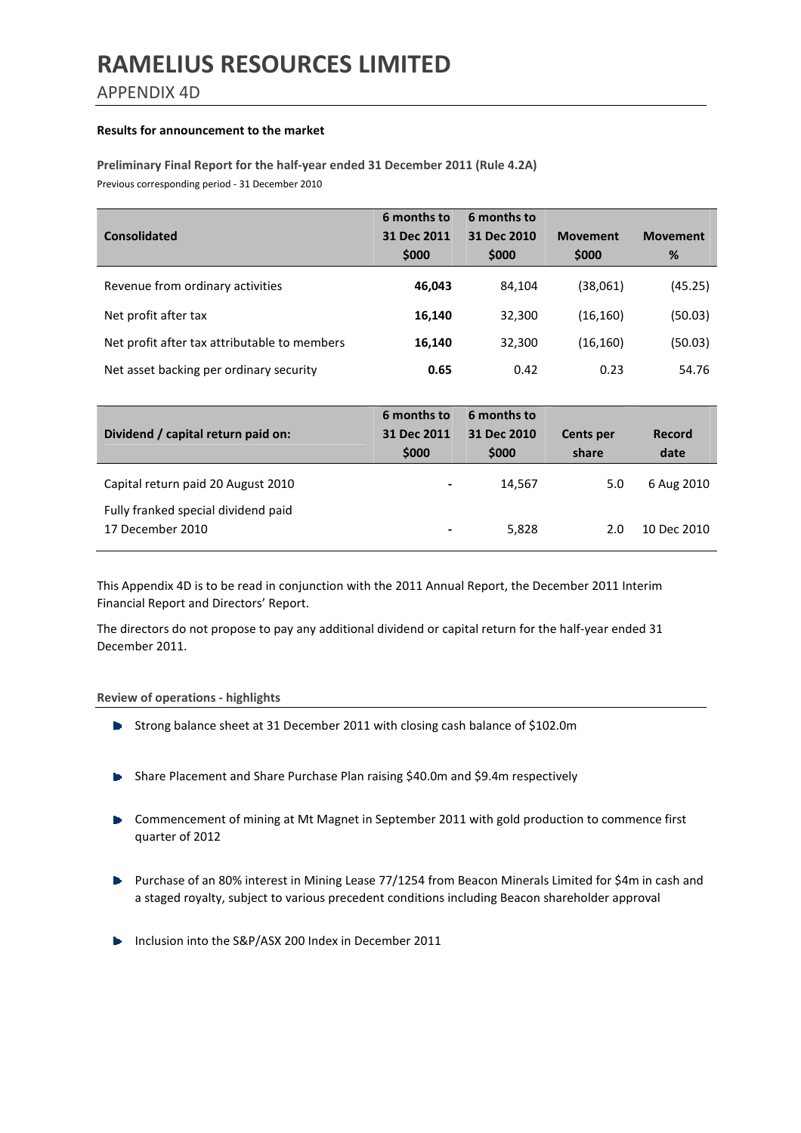APPENDIX 4D

#### Results for announcement to the market

### Preliminary Final Report for the half-year ended 31 December 2011 (Rule 4.2A) Previous corresponding period - 31 December 2010

| <b>Consolidated</b>                          | 6 months to<br>31 Dec 2011<br>\$000 | 6 months to<br>31 Dec 2010<br>\$000 | <b>Movement</b><br>\$000 | <b>Movement</b><br>% |
|----------------------------------------------|-------------------------------------|-------------------------------------|--------------------------|----------------------|
| Revenue from ordinary activities             | 46,043                              | 84,104                              | (38,061)                 | (45.25)              |
| Net profit after tax                         | 16,140                              | 32,300                              | (16, 160)                | (50.03)              |
| Net profit after tax attributable to members | 16,140                              | 32,300                              | (16, 160)                | (50.03)              |
| Net asset backing per ordinary security      | 0.65                                | 0.42                                | 0.23                     | 54.76                |

| Dividend / capital return paid on:                      | 6 months to<br>31 Dec 2011<br>\$000 | 6 months to<br>31 Dec 2010<br>\$000 | <b>Cents per</b><br>share | Record<br>date |
|---------------------------------------------------------|-------------------------------------|-------------------------------------|---------------------------|----------------|
| Capital return paid 20 August 2010                      | ٠                                   | 14,567                              | 5.0                       | 6 Aug 2010     |
| Fully franked special dividend paid<br>17 December 2010 | -                                   | 5,828                               | 2.0                       | 10 Dec 2010    |

This Appendix 4D is to be read in conjunction with the 2011 Annual Report, the December 2011 Interim Financial Report and Directors' Report.

The directors do not propose to pay any additional dividend or capital return for the half-year ended 31 December 2011.

#### Review of operations - highlights

- Strong balance sheet at 31 December 2011 with closing cash balance of \$102.0m
- **B** Share Placement and Share Purchase Plan raising \$40.0m and \$9.4m respectively
- **•** Commencement of mining at Mt Magnet in September 2011 with gold production to commence first quarter of 2012
- **Purchase of an 80% interest in Mining Lease 77/1254 from Beacon Minerals Limited for \$4m in cash and** a staged royalty, subject to various precedent conditions including Beacon shareholder approval
- Inclusion into the S&P/ASX 200 Index in December 2011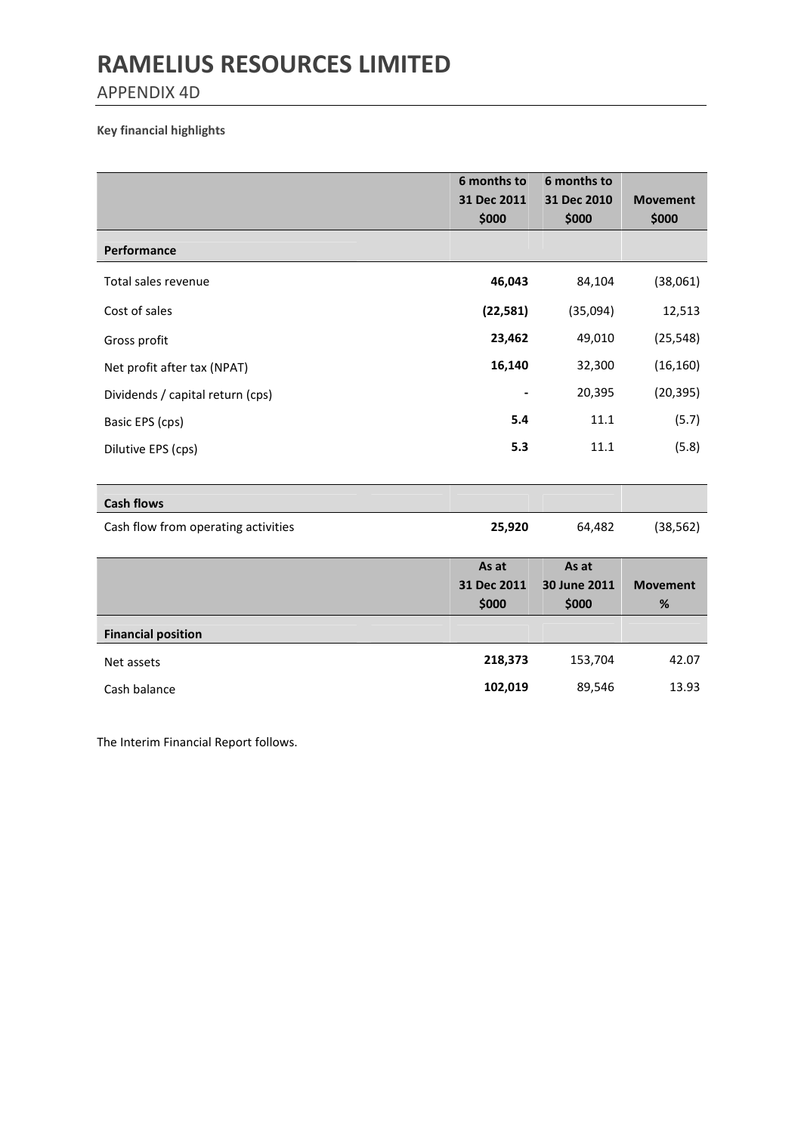APPENDIX 4D

### Key financial highlights

|                                     | 6 months to<br>31 Dec 2011    | 6 months to<br>31 Dec 2010     | <b>Movement</b>         |
|-------------------------------------|-------------------------------|--------------------------------|-------------------------|
| Performance                         | \$000                         | \$000                          | \$000                   |
| Total sales revenue                 | 46,043                        | 84,104                         | (38,061)                |
| Cost of sales                       | (22, 581)                     | (35,094)                       | 12,513                  |
| Gross profit                        | 23,462                        | 49,010                         | (25, 548)               |
| Net profit after tax (NPAT)         | 16,140                        | 32,300                         | (16, 160)               |
| Dividends / capital return (cps)    |                               | 20,395                         | (20, 395)               |
| Basic EPS (cps)                     | 5.4                           | 11.1                           | (5.7)                   |
| Dilutive EPS (cps)                  | 5.3                           | 11.1                           | (5.8)                   |
| <b>Cash flows</b>                   |                               |                                |                         |
| Cash flow from operating activities | 25,920                        | 64,482                         | (38, 562)               |
|                                     | As at<br>31 Dec 2011<br>\$000 | As at<br>30 June 2011<br>\$000 | <b>Movement</b><br>$\%$ |
| <b>Financial position</b>           |                               |                                |                         |
| Net assets                          | 218,373                       | 153,704                        | 42.07                   |
| Cash balance                        | 102,019                       | 89,546                         | 13.93                   |

The Interim Financial Report follows.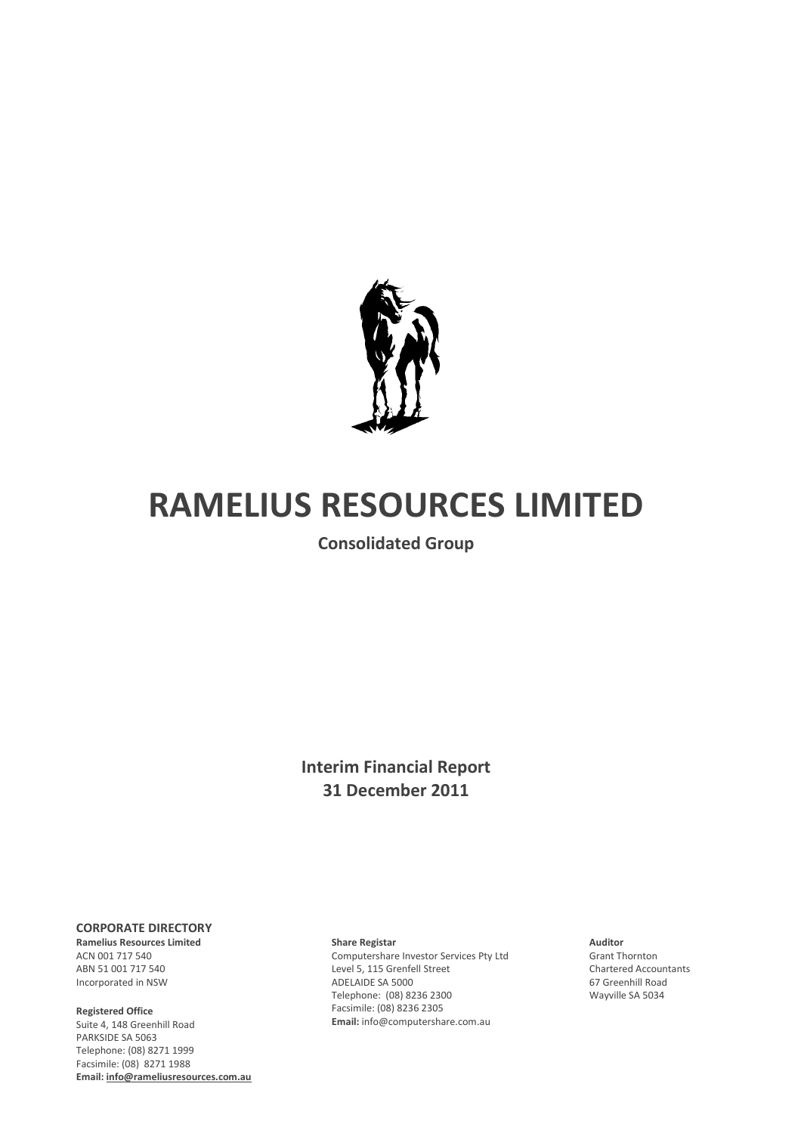

Consolidated Group

## Interim Financial Report 31 December 2011

#### CORPORATE DIRECTORY

Ramelius Resources Limited ACN 001 717 540 ABN 51 001 717 540 Incorporated in NSW

#### Registered Office

Suite 4, 148 Greenhill Road PARKSIDE SA 5063 Telephone: (08) 8271 1999 Facsimile: (08) 8271 1988 Email: info@rameliusresources.com.au

#### Share Registar

Computershare Investor Services Pty Ltd Level 5, 115 Grenfell Street ADELAIDE SA 5000 Telephone: (08) 8236 2300 Facsimile: (08) 8236 2305 Email: info@computershare.com.au

#### Auditor Grant Thornton Chartered Accountants 67 Greenhill Road Wayville SA 5034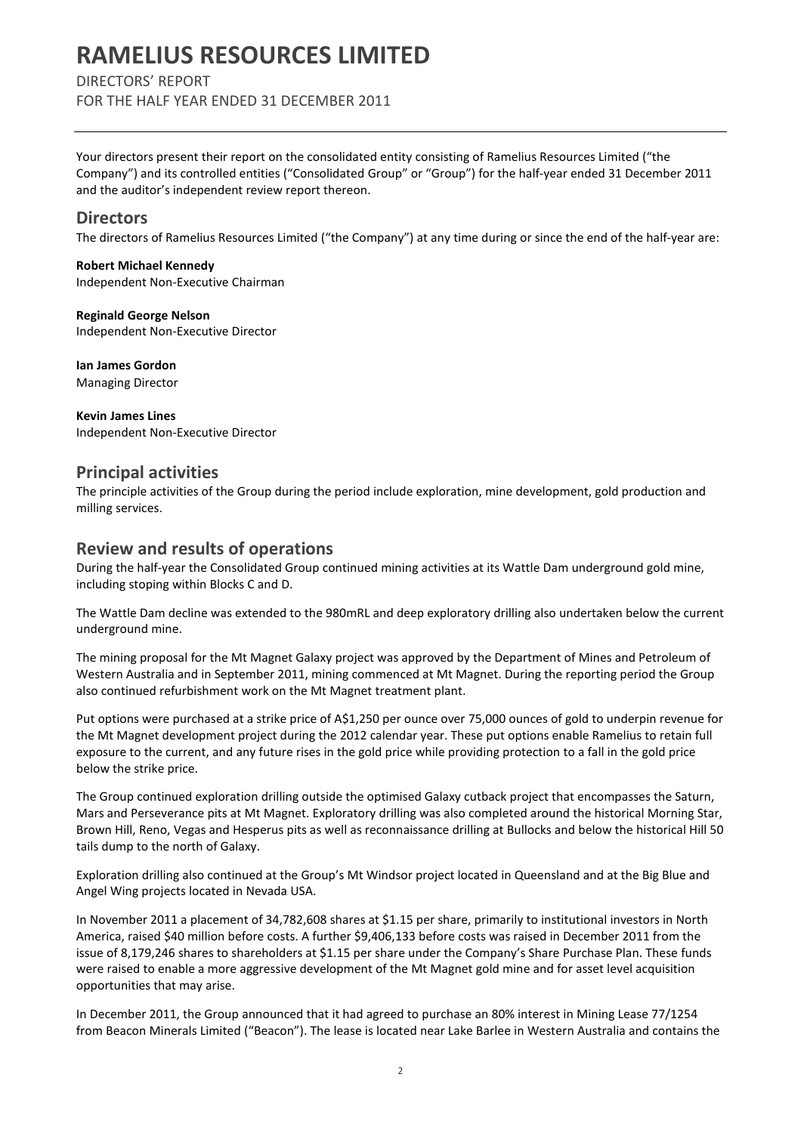### DIRECTORS' REPORT

FOR THE HALF YEAR ENDED 31 DECEMBER 2011

Your directors present their report on the consolidated entity consisting of Ramelius Resources Limited ("the Company") and its controlled entities ("Consolidated Group" or "Group") for the half-year ended 31 December 2011 and the auditor's independent review report thereon.

### **Directors**

The directors of Ramelius Resources Limited ("the Company") at any time during or since the end of the half-year are:

Robert Michael Kennedy Independent Non-Executive Chairman

Reginald George Nelson Independent Non-Executive Director

Ian James Gordon Managing Director

Kevin James Lines Independent Non-Executive Director

### Principal activities

The principle activities of the Group during the period include exploration, mine development, gold production and milling services.

### Review and results of operations

During the half-year the Consolidated Group continued mining activities at its Wattle Dam underground gold mine, including stoping within Blocks C and D.

The Wattle Dam decline was extended to the 980mRL and deep exploratory drilling also undertaken below the current underground mine.

The mining proposal for the Mt Magnet Galaxy project was approved by the Department of Mines and Petroleum of Western Australia and in September 2011, mining commenced at Mt Magnet. During the reporting period the Group also continued refurbishment work on the Mt Magnet treatment plant.

Put options were purchased at a strike price of A\$1,250 per ounce over 75,000 ounces of gold to underpin revenue for the Mt Magnet development project during the 2012 calendar year. These put options enable Ramelius to retain full exposure to the current, and any future rises in the gold price while providing protection to a fall in the gold price below the strike price.

The Group continued exploration drilling outside the optimised Galaxy cutback project that encompasses the Saturn, Mars and Perseverance pits at Mt Magnet. Exploratory drilling was also completed around the historical Morning Star, Brown Hill, Reno, Vegas and Hesperus pits as well as reconnaissance drilling at Bullocks and below the historical Hill 50 tails dump to the north of Galaxy.

Exploration drilling also continued at the Group's Mt Windsor project located in Queensland and at the Big Blue and Angel Wing projects located in Nevada USA.

In November 2011 a placement of 34,782,608 shares at \$1.15 per share, primarily to institutional investors in North America, raised \$40 million before costs. A further \$9,406,133 before costs was raised in December 2011 from the issue of 8,179,246 shares to shareholders at \$1.15 per share under the Company's Share Purchase Plan. These funds were raised to enable a more aggressive development of the Mt Magnet gold mine and for asset level acquisition opportunities that may arise.

In December 2011, the Group announced that it had agreed to purchase an 80% interest in Mining Lease 77/1254 from Beacon Minerals Limited ("Beacon"). The lease is located near Lake Barlee in Western Australia and contains the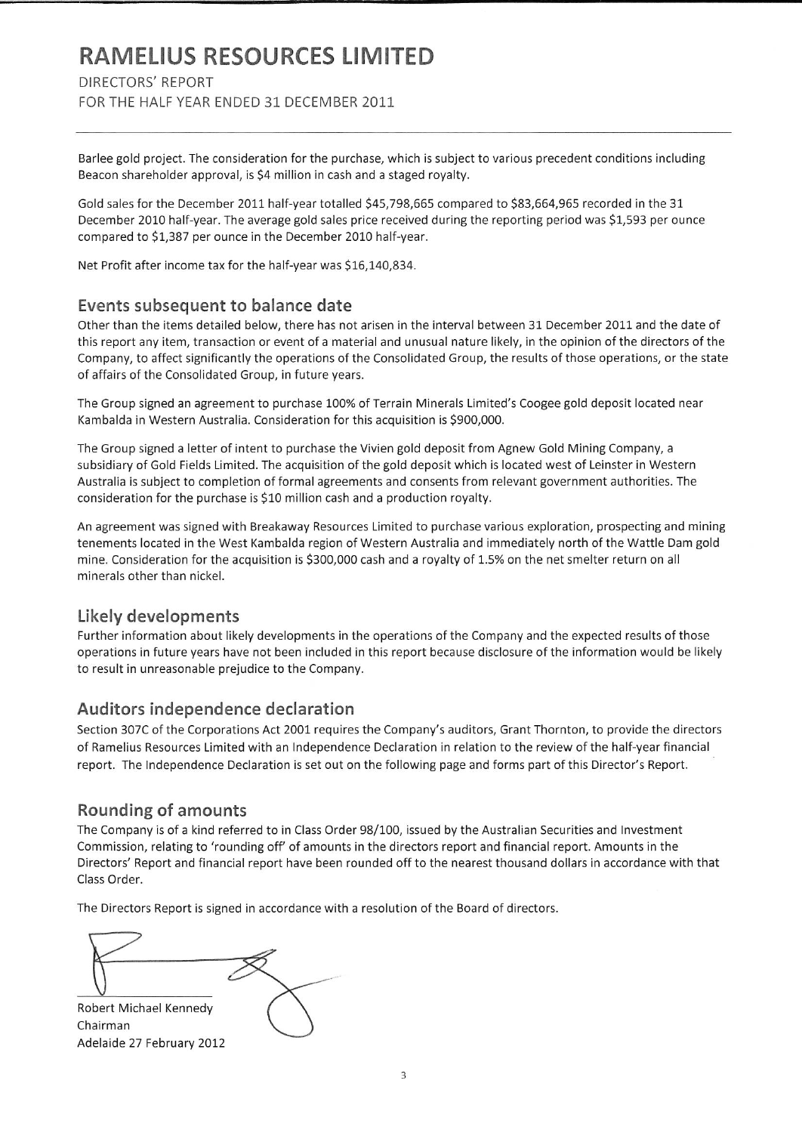### DIRECTORS' REPORT

FOR THE HALF YEAR ENDED 31 DECEMBER 2011

Barlee gold project. The consideration for the purchase, which is subject to various precedent conditions including Beacon shareholder approval, is \$4 million in cash and a staged royalty.

Gold sales for the December 2011 half-year totalled \$45,798,665 compared to \$83,664,965 recorded in the 31 December 2010 half-year. The average gold sales price received during the reporting period was \$1,593 per ounce compared to \$1,387 per ounce in the December 2010 half-year.

Net Profit after income tax for the half-year was \$16,140,834.

### Events subsequent to balance date

Other than the items detailed below, there has not arisen in the interval between 31 December 2011 and the date of this report any item, transaction or event of a material and unusual nature likely, in the opinion of the directors of the Company, to affect significantly the operations of the Consolidated Group, the results of those operations, or the state of affairs of the Consolidated Group, in future years.

The Group signed an agreement to purchase 100% of Terrain Minerals Limited's Coogee gold deposit located near Kambalda in Western Australia. Consideration for this acquisition is \$900,000.

The Group signed a letter of intent to purchase the Vivien gold deposit from Agnew Gold Mining Company, a subsidiary of Gold Fields Limited. The acquisition of the gold deposit which is located west of Leinster in Western Australia is subject to completion of formal agreements and consents from relevant government authorities. The consideration for the purchase is \$10 million cash and a production royalty.

An agreement was signed with Breakaway Resources Limited to purchase various exploration, prospecting and mining tenements located in the West Kambalda region of Western Australia and immediately north of the Wattle Dam gold mine. Consideration for the acquisition is \$300,000 cash and a royalty of 1.5% on the net smelter return on all minerals other than nickel.

### Likely developments

Further information about likely developments in the operations of the Company and the expected results of those operations in future years have not been included in this report because disclosure of the information would be likely to result in unreasonable prejudice to the Company.

### Auditors independence declaration

Section 307C of the Corporations Act 2001 requires the Company's auditors, Grant Thornton, to provide the directors of Ramelius Resources Limited with an Independence Declaration in relation to the review of the half-year financial report. The Independence Declaration is set out on the following page and forms part of this Director's Report.

### Rounding of amounts

The Company is of a kind referred to in Class Order 98/100, issued by the Australian Securities and Investment Commission, relating to 'rounding off' of amounts in the directors report and financial report. Amounts in the Directors' Report and financial report have been rounded off to the nearest thousand dollars in accordance with that Class Order.

The Directors Report is signed in accordance with a resolution of the Board of directors.

Robert Michael Kennedy

Chairman Adelaide 27 February 2012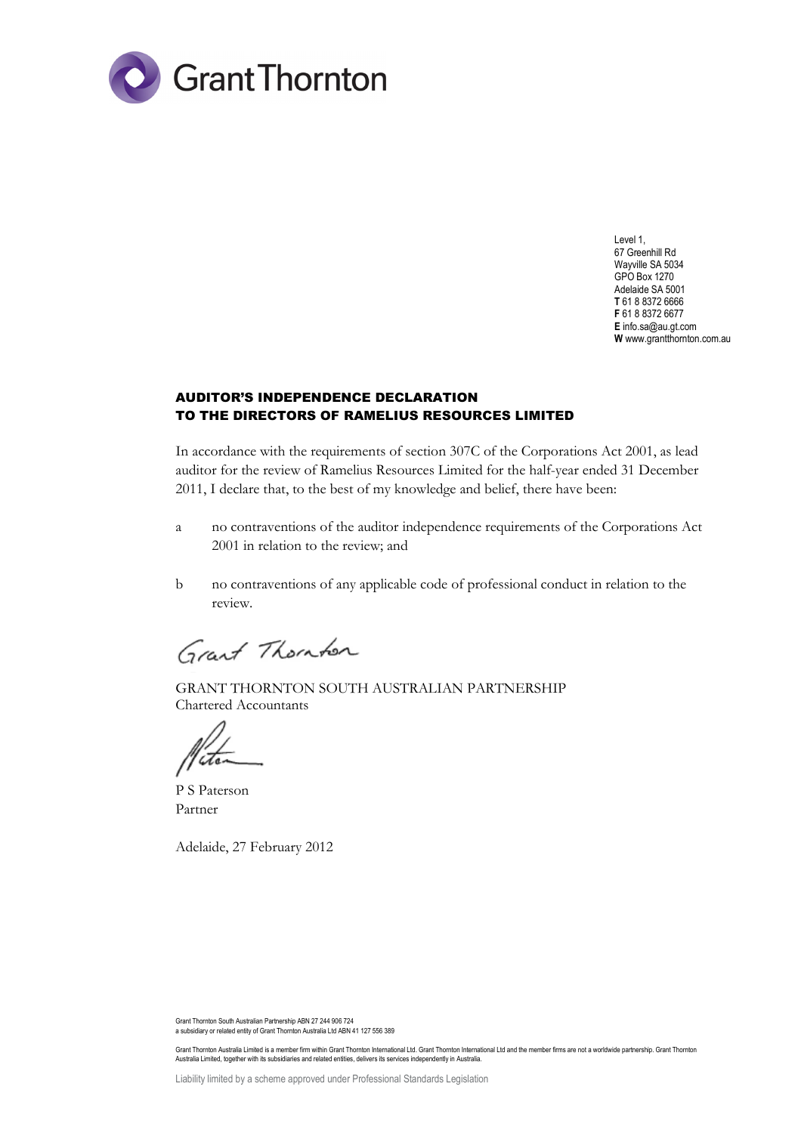

Level 1, 67 Greenhill Rd Wayville SA 5034 GPO Box 1270 Adelaide SA 5001 **T** 61 8 8372 6666 **F** 61 8 8372 6677 **E** info.sa@au.gt.com **W** www.grantthornton.com.au

#### AUDITOR'S INDEPENDENCE DECLARATION TO THE DIRECTORS OF RAMELIUS RESOURCES LIMITED

In accordance with the requirements of section 307C of the Corporations Act 2001, as lead auditor for the review of Ramelius Resources Limited for the half-year ended 31 December 2011, I declare that, to the best of my knowledge and belief, there have been:

- a no contraventions of the auditor independence requirements of the Corporations Act 2001 in relation to the review; and
- b no contraventions of any applicable code of professional conduct in relation to the review.

Grant Thomber

GRANT THORNTON SOUTH AUSTRALIAN PARTNERSHIP Chartered Accountants

P S Paterson Partner

Adelaide, 27 February 2012

Grant Thornton South Australian Partnership ABN 27 244 906 724 a subsidiary or related entity of Grant Thornton Australia Ltd ABN 41 127 556 389

Grant Thornton Australia Limited is a member firm within Grant Thornton International Ltd. Grant Thornton International Ltd and the member firms are not a worldwide partnership. Grant Thornton Australia Limited, together with its subsidiaries and related entities, delivers its services independently in Australia.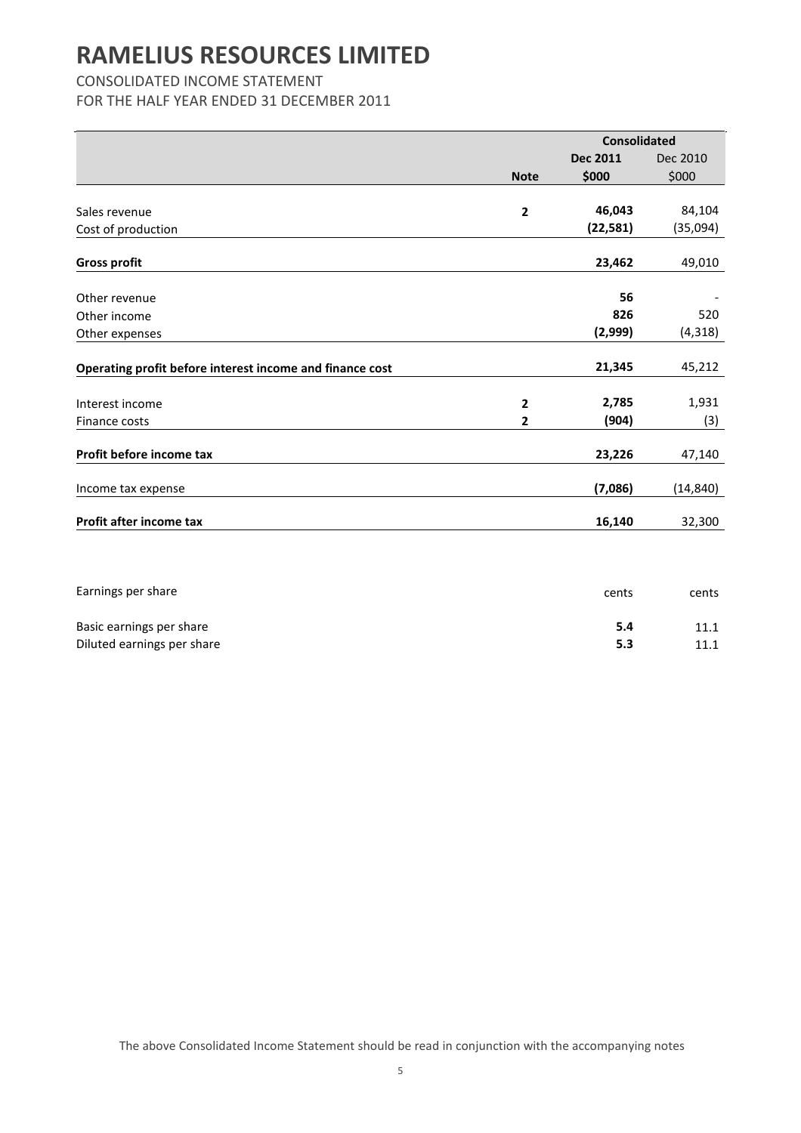### CONSOLIDATED INCOME STATEMENT

FOR THE HALF YEAR ENDED 31 DECEMBER 2011

|                                                          |                | <b>Consolidated</b> |           |
|----------------------------------------------------------|----------------|---------------------|-----------|
|                                                          |                | <b>Dec 2011</b>     | Dec 2010  |
|                                                          | <b>Note</b>    | \$000               | \$000     |
|                                                          |                |                     |           |
| Sales revenue                                            | $\overline{2}$ | 46,043              | 84,104    |
| Cost of production                                       |                | (22, 581)           | (35,094)  |
|                                                          |                |                     |           |
| <b>Gross profit</b>                                      |                | 23,462              | 49,010    |
| Other revenue                                            |                | 56                  |           |
| Other income                                             |                | 826                 | 520       |
| Other expenses                                           |                | (2,999)             | (4, 318)  |
| Operating profit before interest income and finance cost |                | 21,345              | 45,212    |
|                                                          |                |                     |           |
| Interest income                                          | $\overline{2}$ | 2,785               | 1,931     |
| Finance costs                                            | 2              | (904)               | (3)       |
| Profit before income tax                                 |                | 23,226              | 47,140    |
| Income tax expense                                       |                | (7,086)             | (14, 840) |
| Profit after income tax                                  |                | 16,140              | 32,300    |
|                                                          |                |                     |           |

| cents | cents        |
|-------|--------------|
| 5.4   | 11.1<br>11.1 |
| 5.3   |              |
|       |              |

The above Consolidated Income Statement should be read in conjunction with the accompanying notes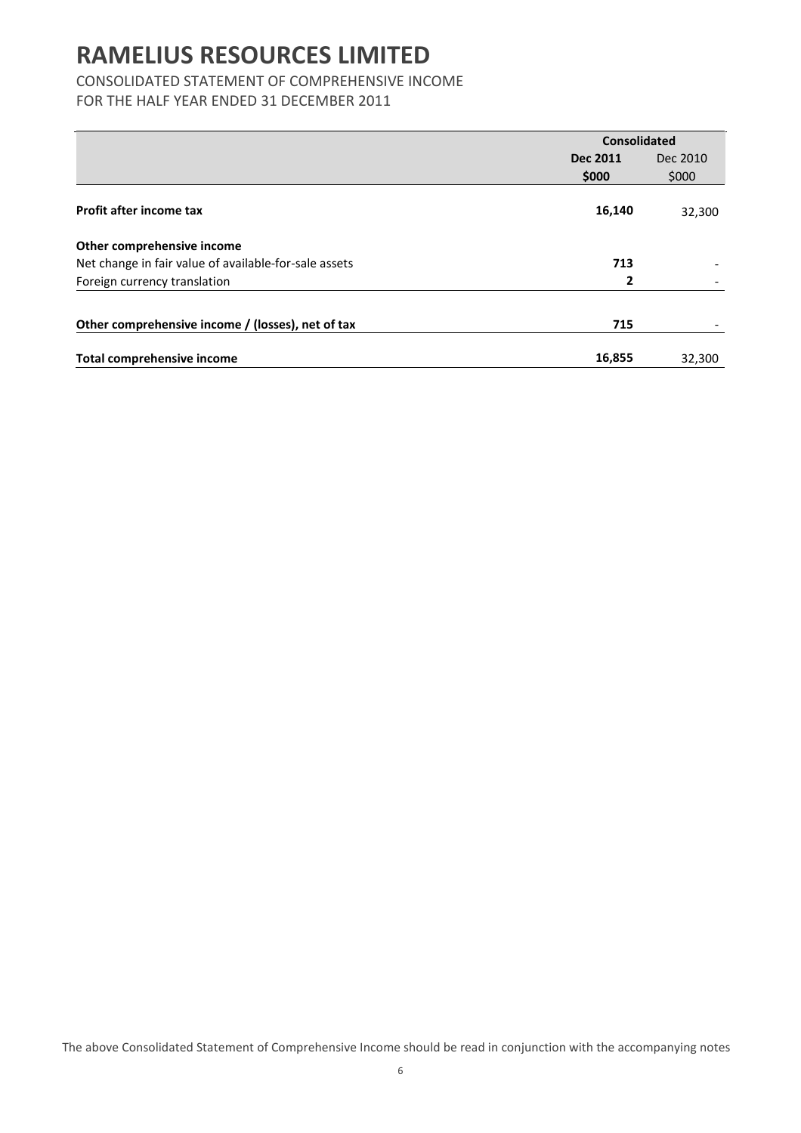## CONSOLIDATED STATEMENT OF COMPREHENSIVE INCOME

FOR THE HALF YEAR ENDED 31 DECEMBER 2011

|                                                       | <b>Consolidated</b> |          |
|-------------------------------------------------------|---------------------|----------|
|                                                       | <b>Dec 2011</b>     | Dec 2010 |
|                                                       | \$000               | \$000    |
| Profit after income tax                               | 16,140              | 32,300   |
| Other comprehensive income                            |                     |          |
| Net change in fair value of available-for-sale assets | 713                 |          |
| Foreign currency translation                          | 2                   |          |
| Other comprehensive income / (losses), net of tax     | 715                 |          |
| <b>Total comprehensive income</b>                     | 16,855              | 32,300   |

The above Consolidated Statement of Comprehensive Income should be read in conjunction with the accompanying notes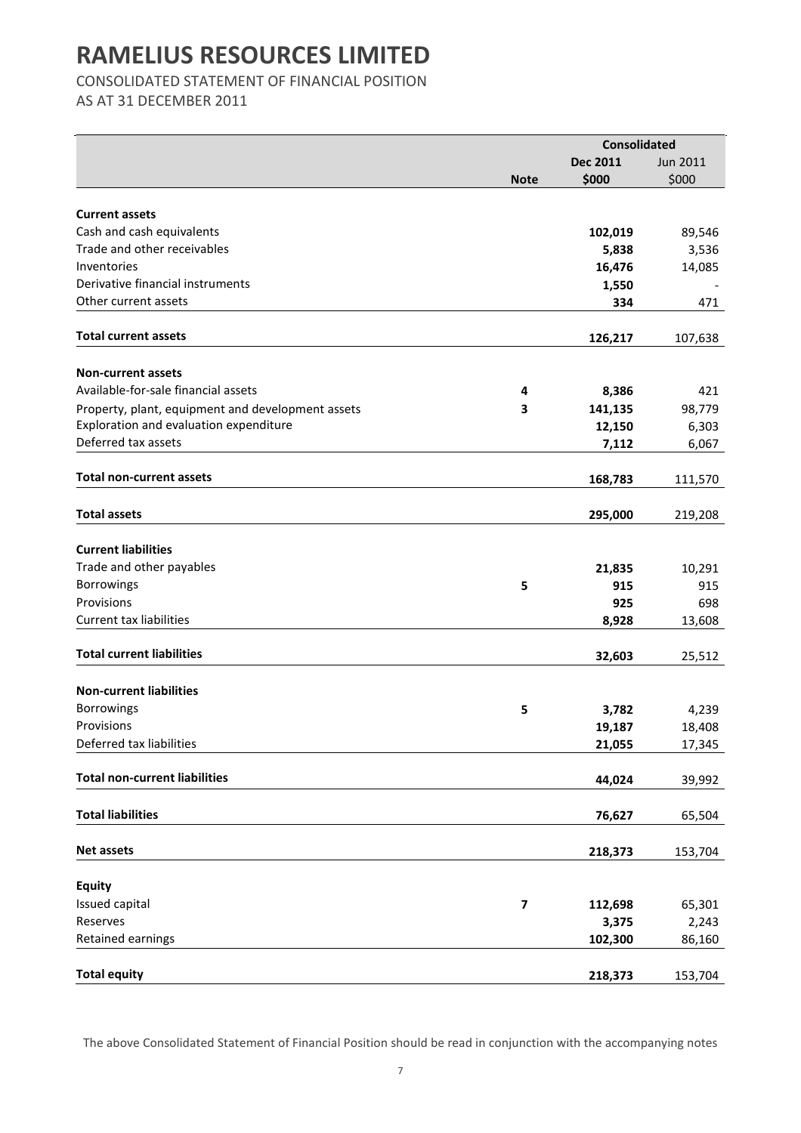CONSOLIDATED STATEMENT OF FINANCIAL POSITION

AS AT 31 DECEMBER 2011

|                                                   |             | <b>Consolidated</b> |          |
|---------------------------------------------------|-------------|---------------------|----------|
|                                                   |             | Dec 2011            | Jun 2011 |
|                                                   | <b>Note</b> | \$000               | \$000    |
|                                                   |             |                     |          |
| <b>Current assets</b>                             |             |                     |          |
| Cash and cash equivalents                         |             | 102,019             | 89,546   |
| Trade and other receivables                       |             | 5,838               | 3,536    |
| Inventories                                       |             | 16,476              | 14,085   |
| Derivative financial instruments                  |             | 1,550               |          |
| Other current assets                              |             | 334                 | 471      |
| <b>Total current assets</b>                       |             | 126,217             | 107,638  |
|                                                   |             |                     |          |
| <b>Non-current assets</b>                         |             |                     |          |
| Available-for-sale financial assets               | 4           | 8,386               | 421      |
| Property, plant, equipment and development assets | 3           | 141,135             | 98,779   |
| Exploration and evaluation expenditure            |             | 12,150              | 6,303    |
| Deferred tax assets                               |             | 7,112               | 6,067    |
|                                                   |             |                     |          |
| <b>Total non-current assets</b>                   |             | 168,783             | 111,570  |
|                                                   |             |                     |          |
| <b>Total assets</b>                               |             | 295,000             | 219,208  |
|                                                   |             |                     |          |
| <b>Current liabilities</b>                        |             |                     |          |
| Trade and other payables                          |             | 21,835              | 10,291   |
| Borrowings                                        | 5           | 915                 | 915      |
| Provisions                                        |             | 925                 | 698      |
| <b>Current tax liabilities</b>                    |             | 8,928               | 13,608   |
|                                                   |             |                     |          |
| <b>Total current liabilities</b>                  |             | 32,603              | 25,512   |
|                                                   |             |                     |          |
| <b>Non-current liabilities</b>                    |             |                     |          |
| Borrowings                                        | 5           | 3,782               | 4,239    |
| Provisions                                        |             | 19,187              | 18,408   |
| Deferred tax liabilities                          |             | 21,055              | 17,345   |
|                                                   |             |                     |          |
| <b>Total non-current liabilities</b>              |             | 44,024              | 39,992   |
|                                                   |             |                     |          |
| <b>Total liabilities</b>                          |             | 76,627              | 65,504   |
|                                                   |             |                     |          |
| <b>Net assets</b>                                 |             | 218,373             | 153,704  |
| <b>Equity</b>                                     |             |                     |          |
| Issued capital                                    | 7           | 112,698             | 65,301   |
| Reserves                                          |             | 3,375               | 2,243    |
| Retained earnings                                 |             | 102,300             | 86,160   |
|                                                   |             |                     |          |
| <b>Total equity</b>                               |             | 218,373             | 153,704  |
|                                                   |             |                     |          |

The above Consolidated Statement of Financial Position should be read in conjunction with the accompanying notes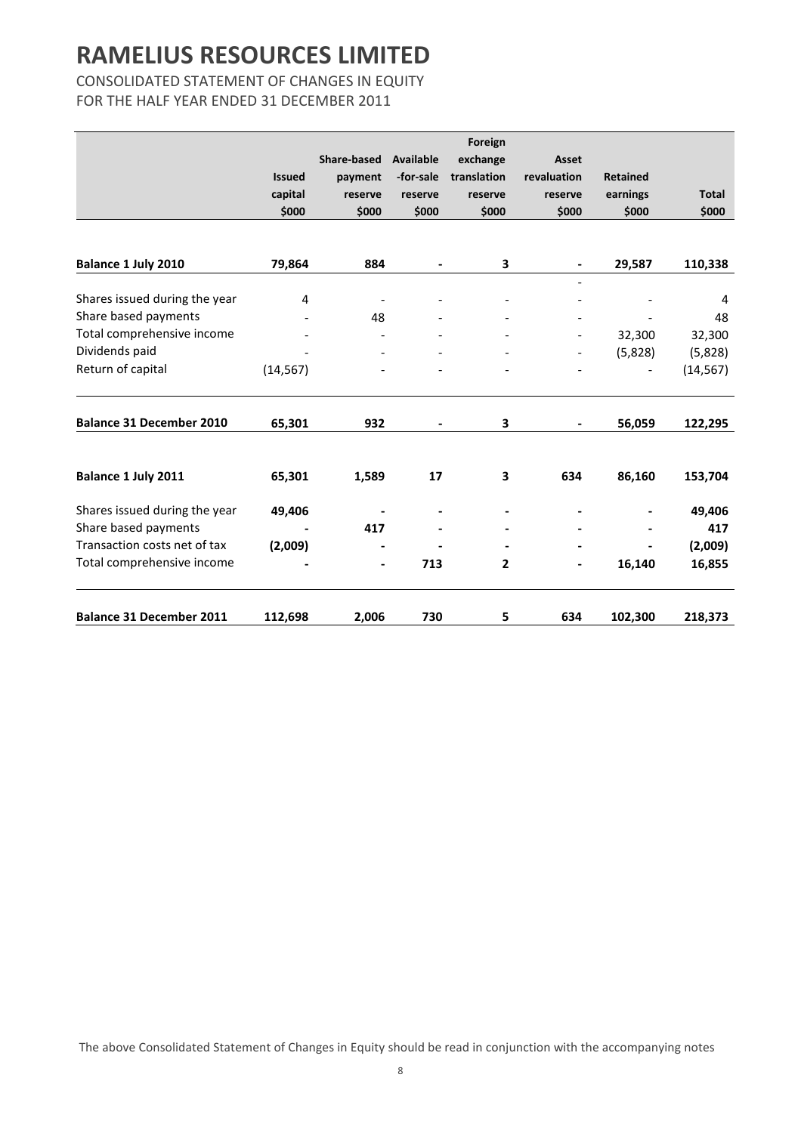### CONSOLIDATED STATEMENT OF CHANGES IN EQUITY FOR THE HALF YEAR ENDED 31 DECEMBER 2011

|                                 |               |                    |                | Foreign      |                          |                 |              |
|---------------------------------|---------------|--------------------|----------------|--------------|--------------------------|-----------------|--------------|
|                                 |               | <b>Share-based</b> | Available      | exchange     | Asset                    |                 |              |
|                                 | <b>Issued</b> | payment            | -for-sale      | translation  | revaluation              | <b>Retained</b> |              |
|                                 | capital       | reserve            | reserve        | reserve      | reserve                  | earnings        | <b>Total</b> |
|                                 | \$000         | \$000              | \$000          | \$000        | \$000                    | \$000           | \$000        |
|                                 |               |                    |                |              |                          |                 |              |
| Balance 1 July 2010             | 79,864        | 884                |                | 3            |                          | 29,587          | 110,338      |
|                                 |               |                    |                |              |                          |                 |              |
| Shares issued during the year   | 4             |                    |                |              |                          |                 | 4            |
| Share based payments            |               | 48                 |                |              |                          | $\overline{a}$  | 48           |
| Total comprehensive income      |               |                    |                |              |                          | 32,300          | 32,300       |
| Dividends paid                  |               |                    |                |              | $\overline{\phantom{0}}$ | (5,828)         | (5,828)      |
| Return of capital               | (14, 567)     |                    |                |              |                          |                 | (14, 567)    |
| <b>Balance 31 December 2010</b> | 65,301        | 932                | $\blacksquare$ | 3            |                          | 56,059          | 122,295      |
|                                 |               |                    |                |              |                          |                 |              |
| Balance 1 July 2011             | 65,301        | 1,589              | 17             | 3            | 634                      | 86,160          | 153,704      |
| Shares issued during the year   | 49,406        |                    |                |              |                          |                 | 49,406       |
| Share based payments            |               | 417                |                |              |                          |                 | 417          |
| Transaction costs net of tax    | (2,009)       |                    |                |              |                          |                 | (2,009)      |
| Total comprehensive income      |               |                    | 713            | $\mathbf{2}$ |                          | 16,140          | 16,855       |
| <b>Balance 31 December 2011</b> | 112,698       | 2,006              | 730            | 5            | 634                      | 102,300         | 218,373      |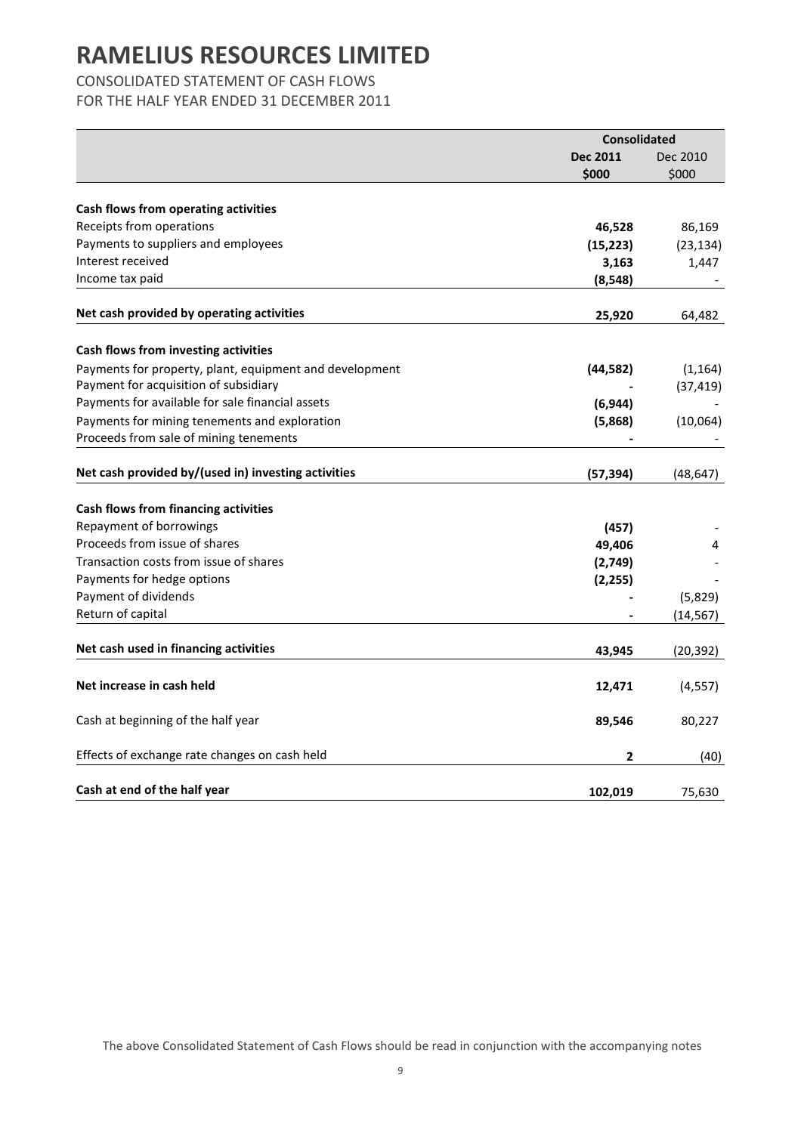### CONSOLIDATED STATEMENT OF CASH FLOWS

FOR THE HALF YEAR ENDED 31 DECEMBER 2011

|                                                         | <b>Consolidated</b> |           |
|---------------------------------------------------------|---------------------|-----------|
|                                                         | Dec 2011            | Dec 2010  |
|                                                         | \$000               | \$000     |
| Cash flows from operating activities                    |                     |           |
| Receipts from operations                                | 46,528              | 86,169    |
| Payments to suppliers and employees                     | (15, 223)           | (23, 134) |
| Interest received                                       | 3,163               | 1,447     |
| Income tax paid                                         | (8, 548)            |           |
| Net cash provided by operating activities               | 25,920              | 64,482    |
| Cash flows from investing activities                    |                     |           |
| Payments for property, plant, equipment and development | (44, 582)           | (1, 164)  |
| Payment for acquisition of subsidiary                   |                     | (37, 419) |
| Payments for available for sale financial assets        | (6, 944)            |           |
| Payments for mining tenements and exploration           | (5,868)             | (10,064)  |
| Proceeds from sale of mining tenements                  |                     |           |
| Net cash provided by/(used in) investing activities     | (57, 394)           | (48, 647) |
| Cash flows from financing activities                    |                     |           |
| Repayment of borrowings                                 | (457)               |           |
| Proceeds from issue of shares                           | 49,406              | 4         |
| Transaction costs from issue of shares                  | (2,749)             |           |
| Payments for hedge options                              | (2, 255)            |           |
| Payment of dividends                                    |                     | (5,829)   |
| Return of capital                                       |                     | (14, 567) |
| Net cash used in financing activities                   | 43,945              | (20, 392) |
| Net increase in cash held                               | 12,471              | (4, 557)  |
| Cash at beginning of the half year                      | 89,546              | 80,227    |
| Effects of exchange rate changes on cash held           | 2                   | (40)      |
| Cash at end of the half year                            | 102,019             | 75,630    |

The above Consolidated Statement of Cash Flows should be read in conjunction with the accompanying notes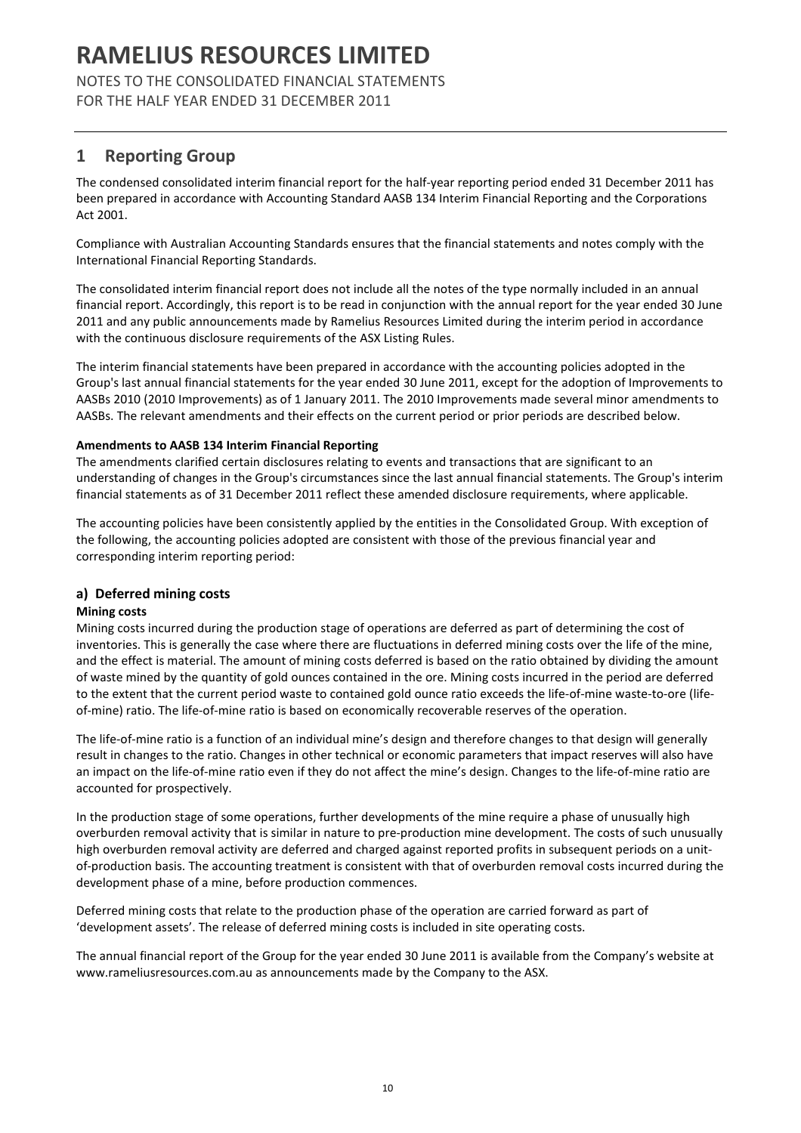NOTES TO THE CONSOLIDATED FINANCIAL STATEMENTS FOR THE HALF YEAR ENDED 31 DECEMBER 2011

## 1 Reporting Group

The condensed consolidated interim financial report for the half-year reporting period ended 31 December 2011 has been prepared in accordance with Accounting Standard AASB 134 Interim Financial Reporting and the Corporations Act 2001.

Compliance with Australian Accounting Standards ensures that the financial statements and notes comply with the International Financial Reporting Standards.

The consolidated interim financial report does not include all the notes of the type normally included in an annual financial report. Accordingly, this report is to be read in conjunction with the annual report for the year ended 30 June 2011 and any public announcements made by Ramelius Resources Limited during the interim period in accordance with the continuous disclosure requirements of the ASX Listing Rules.

The interim financial statements have been prepared in accordance with the accounting policies adopted in the Group's last annual financial statements for the year ended 30 June 2011, except for the adoption of Improvements to AASBs 2010 (2010 Improvements) as of 1 January 2011. The 2010 Improvements made several minor amendments to AASBs. The relevant amendments and their effects on the current period or prior periods are described below.

#### Amendments to AASB 134 Interim Financial Reporting

The amendments clarified certain disclosures relating to events and transactions that are significant to an understanding of changes in the Group's circumstances since the last annual financial statements. The Group's interim financial statements as of 31 December 2011 reflect these amended disclosure requirements, where applicable.

The accounting policies have been consistently applied by the entities in the Consolidated Group. With exception of the following, the accounting policies adopted are consistent with those of the previous financial year and corresponding interim reporting period:

### a) Deferred mining costs

### Mining costs

Mining costs incurred during the production stage of operations are deferred as part of determining the cost of inventories. This is generally the case where there are fluctuations in deferred mining costs over the life of the mine, and the effect is material. The amount of mining costs deferred is based on the ratio obtained by dividing the amount of waste mined by the quantity of gold ounces contained in the ore. Mining costs incurred in the period are deferred to the extent that the current period waste to contained gold ounce ratio exceeds the life-of-mine waste-to-ore (lifeof-mine) ratio. The life-of-mine ratio is based on economically recoverable reserves of the operation.

The life-of-mine ratio is a function of an individual mine's design and therefore changes to that design will generally result in changes to the ratio. Changes in other technical or economic parameters that impact reserves will also have an impact on the life-of-mine ratio even if they do not affect the mine's design. Changes to the life-of-mine ratio are accounted for prospectively.

In the production stage of some operations, further developments of the mine require a phase of unusually high overburden removal activity that is similar in nature to pre-production mine development. The costs of such unusually high overburden removal activity are deferred and charged against reported profits in subsequent periods on a unitof-production basis. The accounting treatment is consistent with that of overburden removal costs incurred during the development phase of a mine, before production commences.

Deferred mining costs that relate to the production phase of the operation are carried forward as part of 'development assets'. The release of deferred mining costs is included in site operating costs.

The annual financial report of the Group for the year ended 30 June 2011 is available from the Company's website at www.rameliusresources.com.au as announcements made by the Company to the ASX.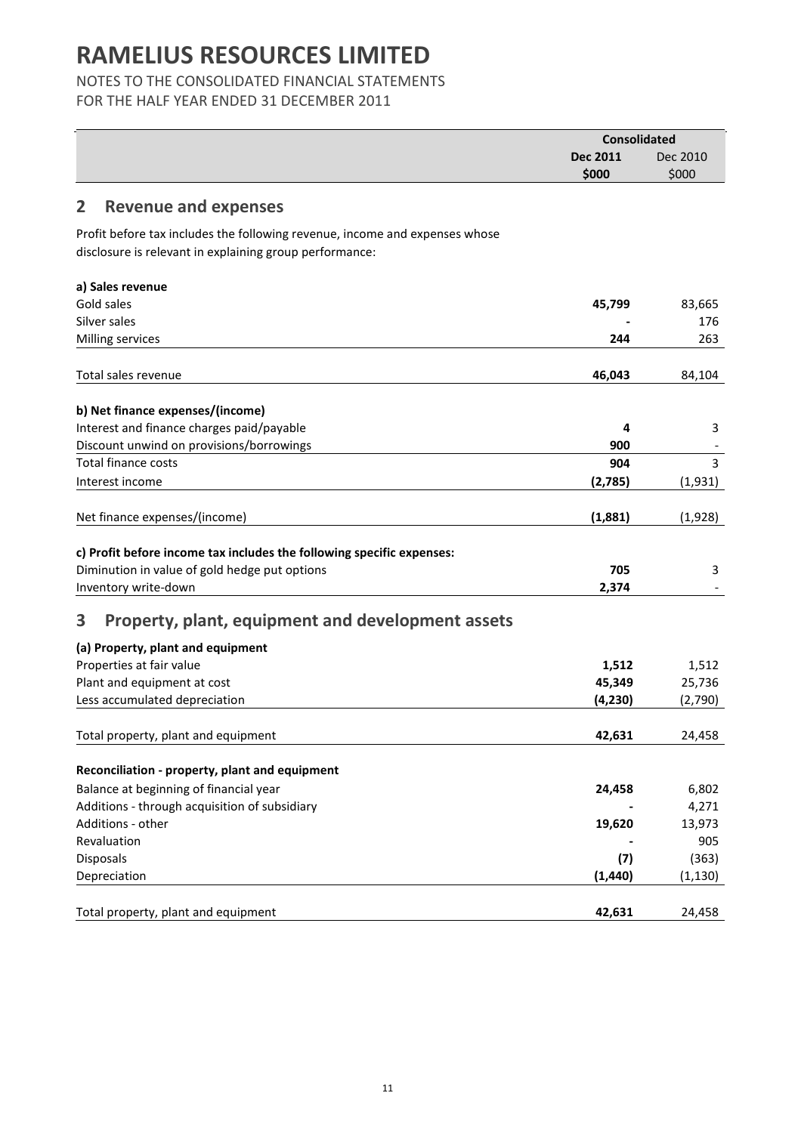## NOTES TO THE CONSOLIDATED FINANCIAL STATEMENTS

FOR THE HALF YEAR ENDED 31 DECEMBER 2011

|                                                                                                                                        | <b>Consolidated</b> |          |
|----------------------------------------------------------------------------------------------------------------------------------------|---------------------|----------|
|                                                                                                                                        | Dec 2011            | Dec 2010 |
|                                                                                                                                        | \$000               | \$000    |
| <b>Revenue and expenses</b><br>2                                                                                                       |                     |          |
|                                                                                                                                        |                     |          |
| Profit before tax includes the following revenue, income and expenses whose<br>disclosure is relevant in explaining group performance: |                     |          |
|                                                                                                                                        |                     |          |
| a) Sales revenue                                                                                                                       |                     |          |
| Gold sales                                                                                                                             | 45,799              | 83,665   |
| Silver sales                                                                                                                           |                     | 176      |
| Milling services                                                                                                                       | 244                 | 263      |
|                                                                                                                                        |                     |          |
| Total sales revenue                                                                                                                    | 46,043              | 84,104   |
| b) Net finance expenses/(income)                                                                                                       |                     |          |
| Interest and finance charges paid/payable                                                                                              | 4                   | 3        |
| Discount unwind on provisions/borrowings                                                                                               | 900                 |          |
| <b>Total finance costs</b>                                                                                                             | 904                 | 3        |
| Interest income                                                                                                                        | (2,785)             | (1,931)  |
|                                                                                                                                        |                     |          |
| Net finance expenses/(income)                                                                                                          | (1,881)             | (1,928)  |
| c) Profit before income tax includes the following specific expenses:                                                                  |                     |          |
| Diminution in value of gold hedge put options                                                                                          | 705                 | 3        |
| Inventory write-down                                                                                                                   | 2,374               |          |
|                                                                                                                                        |                     |          |
| 3<br>Property, plant, equipment and development assets                                                                                 |                     |          |
| (a) Property, plant and equipment                                                                                                      |                     |          |
| Properties at fair value                                                                                                               | 1,512               | 1,512    |
| Plant and equipment at cost                                                                                                            | 45,349              | 25,736   |
| Less accumulated depreciation                                                                                                          | (4, 230)            | (2,790)  |
|                                                                                                                                        |                     |          |
| Total property, plant and equipment                                                                                                    | 42,631              | 24,458   |
| Reconciliation - property, plant and equipment                                                                                         |                     |          |
| Balance at beginning of financial year                                                                                                 | 24,458              | 6,802    |
| Additions - through acquisition of subsidiary                                                                                          |                     | 4,271    |
| Additions - other                                                                                                                      | 19,620              | 13,973   |
| Revaluation                                                                                                                            |                     | 905      |
| Disposals                                                                                                                              | (7)                 | (363)    |
| Depreciation                                                                                                                           | (1, 440)            | (1, 130) |
|                                                                                                                                        |                     |          |
| Total property, plant and equipment                                                                                                    | 42,631              | 24,458   |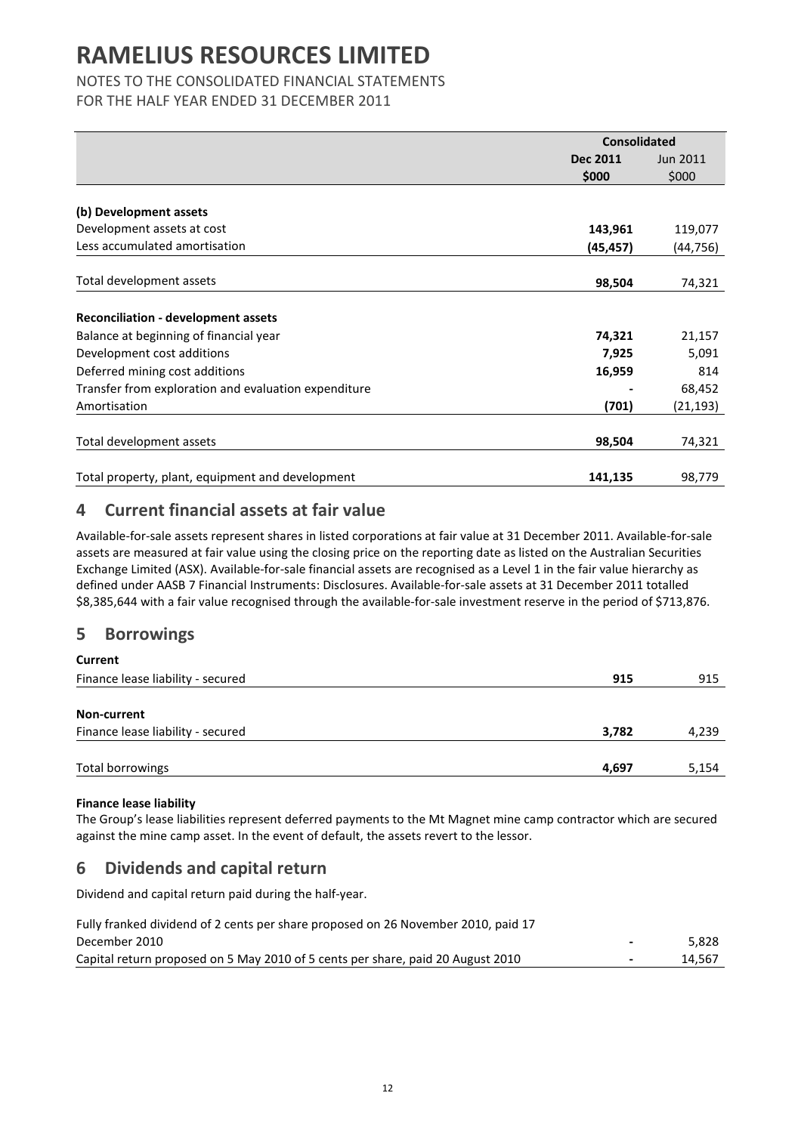## NOTES TO THE CONSOLIDATED FINANCIAL STATEMENTS

FOR THE HALF YEAR ENDED 31 DECEMBER 2011

|                                                      | <b>Consolidated</b> |                 |
|------------------------------------------------------|---------------------|-----------------|
|                                                      | <b>Dec 2011</b>     | <b>Jun 2011</b> |
|                                                      | \$000               | \$000           |
|                                                      |                     |                 |
| (b) Development assets                               |                     |                 |
| Development assets at cost                           | 143,961             | 119,077         |
| Less accumulated amortisation                        | (45,457)            | (44, 756)       |
|                                                      |                     |                 |
| Total development assets                             | 98,504              | 74,321          |
|                                                      |                     |                 |
| <b>Reconciliation - development assets</b>           |                     |                 |
| Balance at beginning of financial year               | 74,321              | 21,157          |
| Development cost additions                           | 7,925               | 5,091           |
| Deferred mining cost additions                       | 16,959              | 814             |
| Transfer from exploration and evaluation expenditure |                     | 68,452          |
| Amortisation                                         | (701)               | (21, 193)       |
|                                                      |                     |                 |
| Total development assets                             | 98,504              | 74,321          |
|                                                      |                     |                 |
| Total property, plant, equipment and development     | 141,135             | 98,779          |

### 4 Current financial assets at fair value

Available-for-sale assets represent shares in listed corporations at fair value at 31 December 2011. Available-for-sale assets are measured at fair value using the closing price on the reporting date as listed on the Australian Securities Exchange Limited (ASX). Available-for-sale financial assets are recognised as a Level 1 in the fair value hierarchy as defined under AASB 7 Financial Instruments: Disclosures. Available-for-sale assets at 31 December 2011 totalled \$8,385,644 with a fair value recognised through the available-for-sale investment reserve in the period of \$713,876.

### 5 Borrowings

| Current                           |       |       |
|-----------------------------------|-------|-------|
| Finance lease liability - secured | 915   | 915   |
|                                   |       |       |
| Non-current                       |       |       |
| Finance lease liability - secured | 3,782 | 4,239 |
|                                   |       |       |
| Total borrowings                  | 4,697 | 5,154 |
|                                   |       |       |

### Finance lease liability

The Group's lease liabilities represent deferred payments to the Mt Magnet mine camp contractor which are secured against the mine camp asset. In the event of default, the assets revert to the lessor.

### 6 Dividends and capital return

Dividend and capital return paid during the half-year.

| Fully franked dividend of 2 cents per share proposed on 26 November 2010, paid 17 |                          |        |
|-----------------------------------------------------------------------------------|--------------------------|--------|
| December 2010                                                                     | $\overline{\phantom{0}}$ | 5.828  |
| Capital return proposed on 5 May 2010 of 5 cents per share, paid 20 August 2010   | $\overline{\phantom{0}}$ | 14.567 |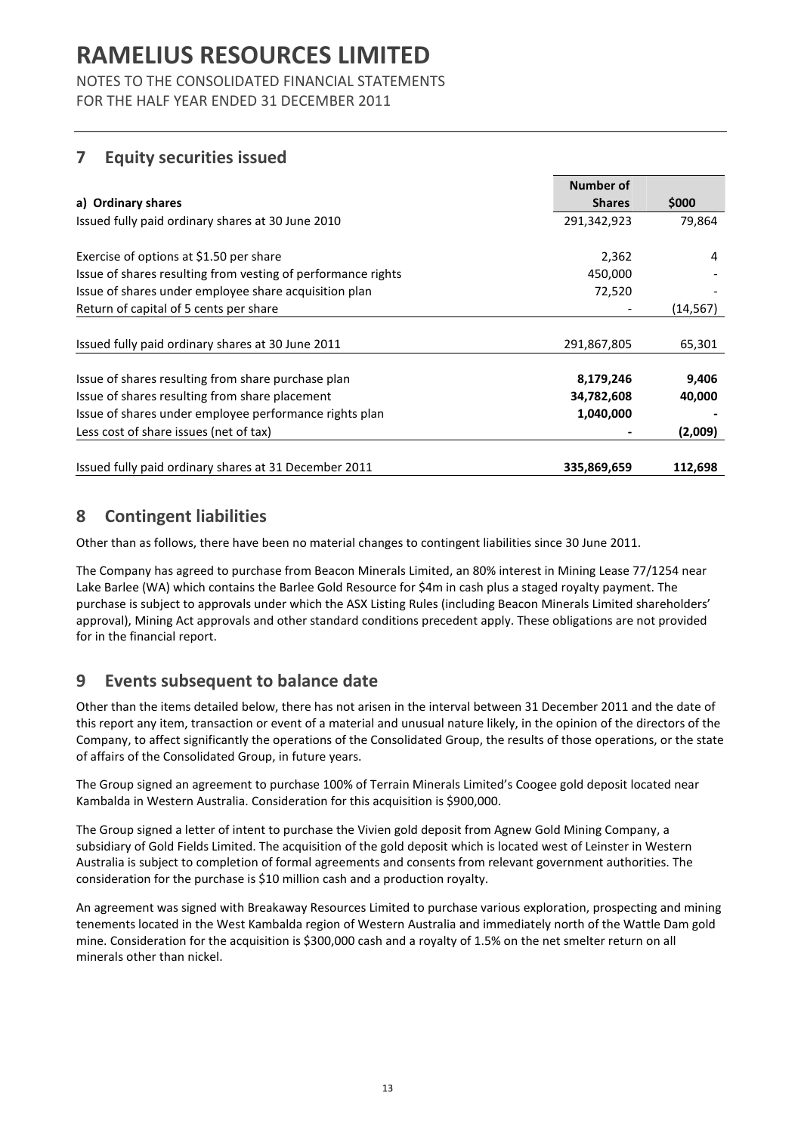NOTES TO THE CONSOLIDATED FINANCIAL STATEMENTS FOR THE HALF YEAR ENDED 31 DECEMBER 2011

## 7 Equity securities issued

|                                                              | Number of     |           |
|--------------------------------------------------------------|---------------|-----------|
| a) Ordinary shares                                           | <b>Shares</b> | \$000     |
| Issued fully paid ordinary shares at 30 June 2010            | 291,342,923   | 79,864    |
| Exercise of options at \$1.50 per share                      | 2,362         | 4         |
| Issue of shares resulting from vesting of performance rights | 450,000       |           |
| Issue of shares under employee share acquisition plan        | 72,520        |           |
| Return of capital of 5 cents per share                       |               | (14, 567) |
| Issued fully paid ordinary shares at 30 June 2011            | 291,867,805   | 65,301    |
| Issue of shares resulting from share purchase plan           | 8,179,246     | 9,406     |
| Issue of shares resulting from share placement               | 34,782,608    | 40,000    |
| Issue of shares under employee performance rights plan       | 1,040,000     |           |
| Less cost of share issues (net of tax)                       |               | (2,009)   |
| Issued fully paid ordinary shares at 31 December 2011        | 335,869,659   | 112,698   |

## 8 Contingent liabilities

Other than as follows, there have been no material changes to contingent liabilities since 30 June 2011.

The Company has agreed to purchase from Beacon Minerals Limited, an 80% interest in Mining Lease 77/1254 near Lake Barlee (WA) which contains the Barlee Gold Resource for \$4m in cash plus a staged royalty payment. The purchase is subject to approvals under which the ASX Listing Rules (including Beacon Minerals Limited shareholders' approval), Mining Act approvals and other standard conditions precedent apply. These obligations are not provided for in the financial report.

## 9 Events subsequent to balance date

Other than the items detailed below, there has not arisen in the interval between 31 December 2011 and the date of this report any item, transaction or event of a material and unusual nature likely, in the opinion of the directors of the Company, to affect significantly the operations of the Consolidated Group, the results of those operations, or the state of affairs of the Consolidated Group, in future years.

The Group signed an agreement to purchase 100% of Terrain Minerals Limited's Coogee gold deposit located near Kambalda in Western Australia. Consideration for this acquisition is \$900,000.

The Group signed a letter of intent to purchase the Vivien gold deposit from Agnew Gold Mining Company, a subsidiary of Gold Fields Limited. The acquisition of the gold deposit which is located west of Leinster in Western Australia is subject to completion of formal agreements and consents from relevant government authorities. The consideration for the purchase is \$10 million cash and a production royalty.

An agreement was signed with Breakaway Resources Limited to purchase various exploration, prospecting and mining tenements located in the West Kambalda region of Western Australia and immediately north of the Wattle Dam gold mine. Consideration for the acquisition is \$300,000 cash and a royalty of 1.5% on the net smelter return on all minerals other than nickel.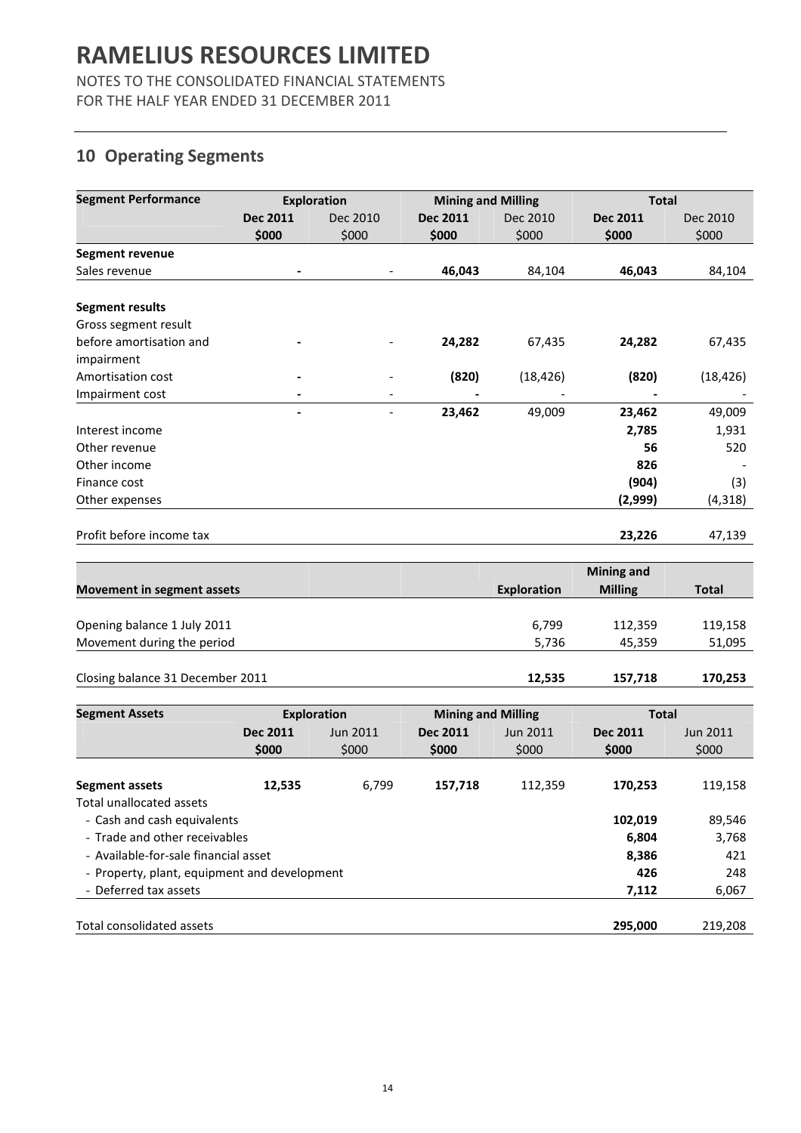NOTES TO THE CONSOLIDATED FINANCIAL STATEMENTS FOR THE HALF YEAR ENDED 31 DECEMBER 2011

## 10 Operating Segments

| <b>Segment Performance</b> | <b>Exploration</b> |                          | <b>Mining and Milling</b> |           | <b>Total</b>    |           |
|----------------------------|--------------------|--------------------------|---------------------------|-----------|-----------------|-----------|
|                            | <b>Dec 2011</b>    | Dec 2010                 | <b>Dec 2011</b>           | Dec 2010  | <b>Dec 2011</b> | Dec 2010  |
|                            | \$000              | \$000                    | \$000                     | \$000     | \$000           | \$000     |
| <b>Segment revenue</b>     |                    |                          |                           |           |                 |           |
| Sales revenue              |                    |                          | 46,043                    | 84,104    | 46,043          | 84,104    |
| <b>Segment results</b>     |                    |                          |                           |           |                 |           |
| Gross segment result       |                    |                          |                           |           |                 |           |
| before amortisation and    |                    |                          | 24,282                    | 67,435    | 24,282          | 67,435    |
| impairment                 |                    |                          |                           |           |                 |           |
| Amortisation cost          |                    |                          | (820)                     | (18, 426) | (820)           | (18, 426) |
| Impairment cost            |                    | $\overline{\phantom{0}}$ |                           |           |                 |           |
|                            |                    |                          | 23,462                    | 49,009    | 23,462          | 49,009    |
| Interest income            |                    |                          |                           |           | 2,785           | 1,931     |
| Other revenue              |                    |                          |                           |           | 56              | 520       |
| Other income               |                    |                          |                           |           | 826             |           |
| Finance cost               |                    |                          |                           |           | (904)           | (3)       |
| Other expenses             |                    |                          |                           |           | (2,999)         | (4, 318)  |
|                            |                    |                          |                           |           |                 |           |
| Profit before income tax   |                    |                          |                           |           | 23,226          | 47,139    |

|                                   |             | Mining and     |         |
|-----------------------------------|-------------|----------------|---------|
| <b>Movement in segment assets</b> | Exploration | <b>Milling</b> | Total   |
|                                   |             |                |         |
| Opening balance 1 July 2011       | 6,799       | 112,359        | 119,158 |
| Movement during the period        | 5.736       | 45.359         | 51,095  |
| Closing balance 31 December 2011  | 12,535      | 157.718        | 170.253 |

| <b>Segment Assets</b>                        | <b>Exploration</b> |          | <b>Mining and Milling</b> |          | <b>Total</b> |          |
|----------------------------------------------|--------------------|----------|---------------------------|----------|--------------|----------|
|                                              | Dec 2011           | Jun 2011 | Dec 2011                  | Jun 2011 | Dec 2011     | Jun 2011 |
|                                              | \$000              | \$000    | \$000                     | \$000    | \$000        | \$000    |
|                                              |                    |          |                           |          |              |          |
| Segment assets                               | 12,535             | 6,799    | 157,718                   | 112,359  | 170,253      | 119,158  |
| Total unallocated assets                     |                    |          |                           |          |              |          |
| - Cash and cash equivalents                  |                    |          |                           |          | 102.019      | 89,546   |
| - Trade and other receivables                |                    |          |                           |          | 6,804        | 3,768    |
| - Available-for-sale financial asset         |                    |          |                           |          | 8,386        | 421      |
| - Property, plant, equipment and development |                    |          |                           |          | 426          | 248      |
| - Deferred tax assets                        |                    |          |                           |          | 7,112        | 6,067    |
|                                              |                    |          |                           |          |              |          |
| Total consolidated assets                    |                    |          |                           |          | 295,000      | 219,208  |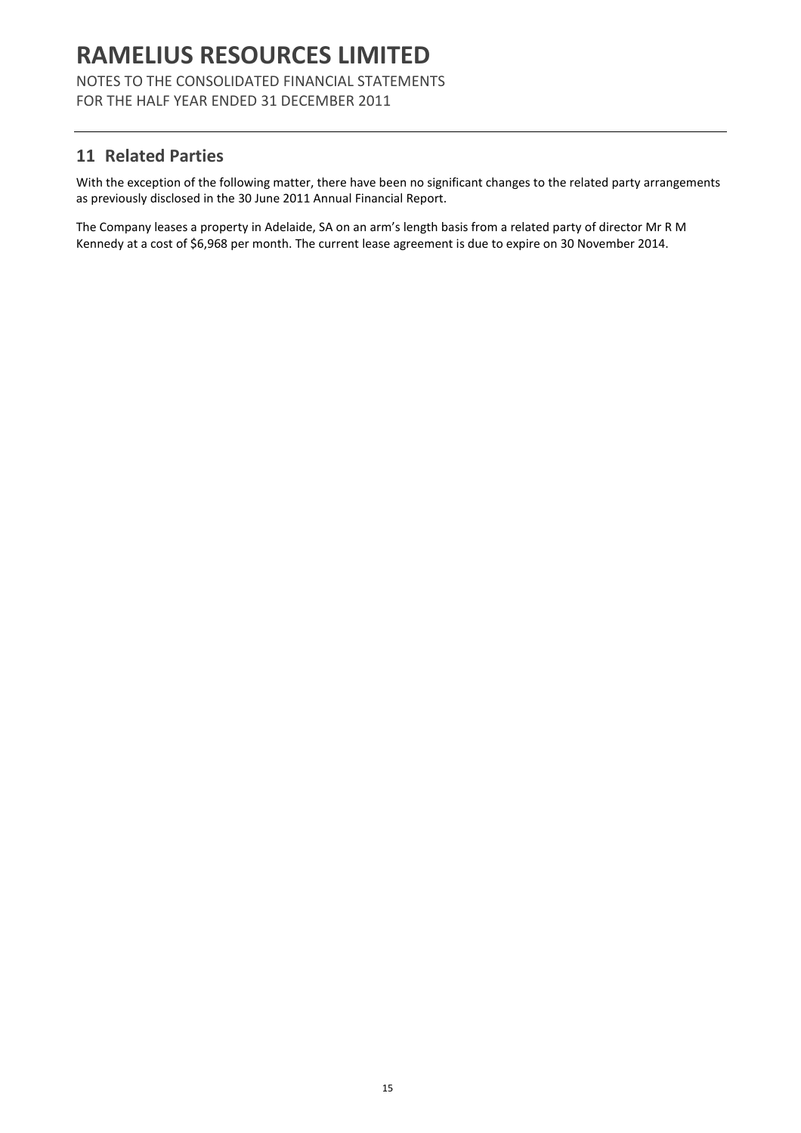NOTES TO THE CONSOLIDATED FINANCIAL STATEMENTS FOR THE HALF YEAR ENDED 31 DECEMBER 2011

## 11 Related Parties

With the exception of the following matter, there have been no significant changes to the related party arrangements as previously disclosed in the 30 June 2011 Annual Financial Report.

The Company leases a property in Adelaide, SA on an arm's length basis from a related party of director Mr R M Kennedy at a cost of \$6,968 per month. The current lease agreement is due to expire on 30 November 2014.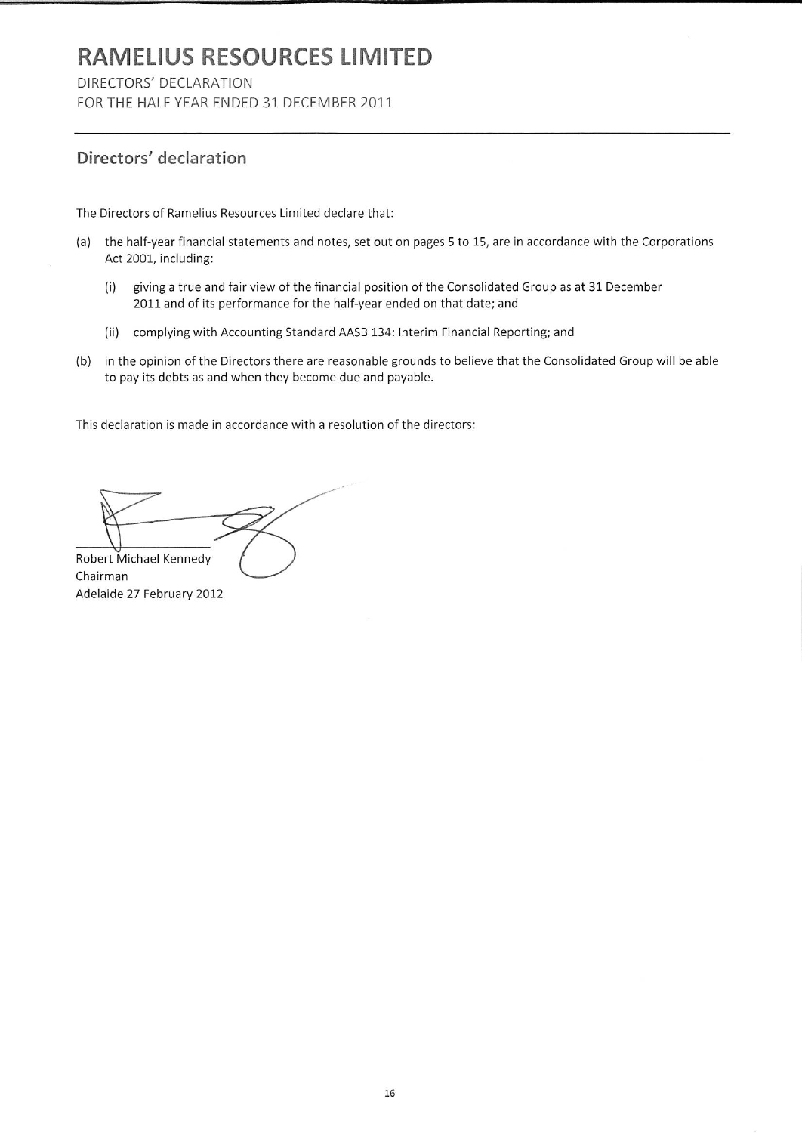DIRECTORS' DECLARATION

FOR THE HALF YEAR ENDED 31 DECEMBER 2011

## Directors' declaration

The Directors of Ramelius Resources Limited declare that:

- (a) the half-year financial statements and notes, set out on pages 5 to 15, are in accordance with the Corporations Act 2001, including:
	- giving a true and fair view of the financial position of the Consolidated Group as at 31 December  $(i)$ 2011 and of its performance for the half-year ended on that date; and
	- (ii) complying with Accounting Standard AASB 134: Interim Financial Reporting; and
- (b) in the opinion of the Directors there are reasonable grounds to believe that the Consolidated Group will be able to pay its debts as and when they become due and payable.

This declaration is made in accordance with a resolution of the directors:

Robert Michael Kennedy Chairman Adelaide 27 February 2012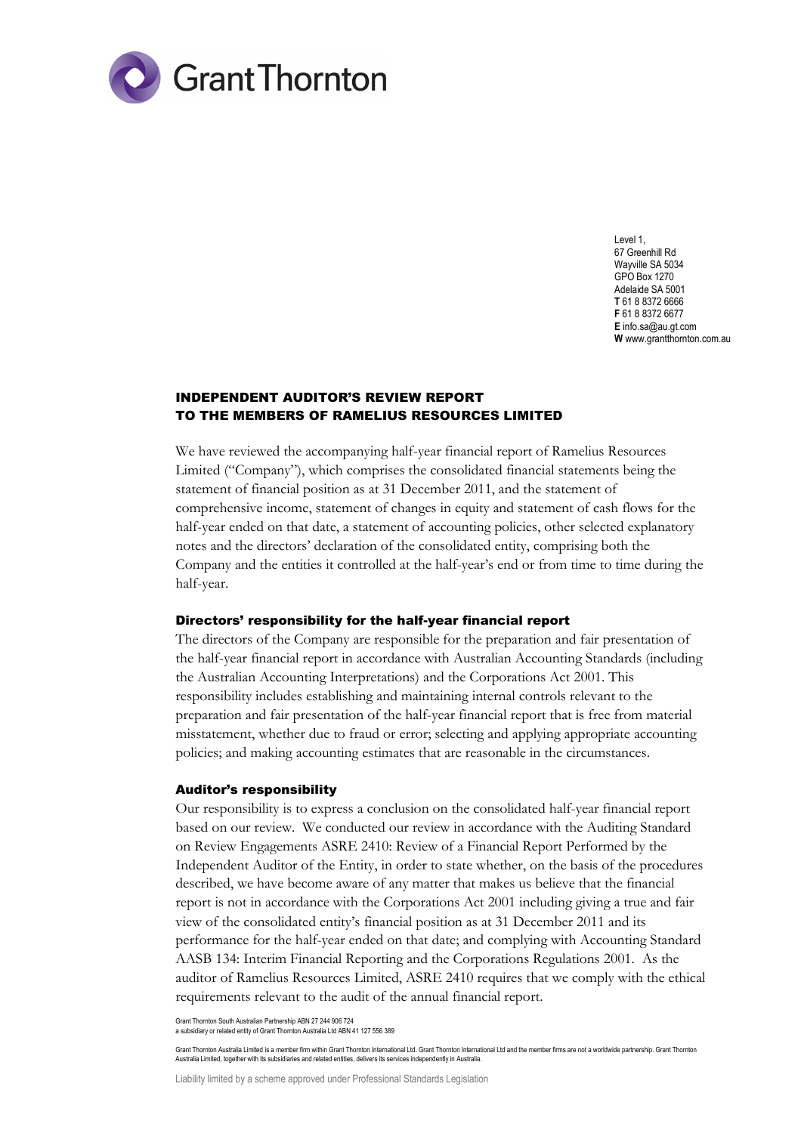

Level 1, 67 Greenhill Rd Wayville SA 5034 GPO Box 1270 Adelaide SA 5001 **T** 61 8 8372 6666 **F** 61 8 8372 6677 **E** info.sa@au.gt.com **W** www.grantthornton.com.au

### INDEPENDENT AUDITOR'S REVIEW REPORT TO THE MEMBERS OF RAMELIUS RESOURCES LIMITED

We have reviewed the accompanying half-year financial report of Ramelius Resources Limited ("Company"), which comprises the consolidated financial statements being the statement of financial position as at 31 December 2011, and the statement of comprehensive income, statement of changes in equity and statement of cash flows for the half-year ended on that date, a statement of accounting policies, other selected explanatory notes and the directors' declaration of the consolidated entity, comprising both the Company and the entities it controlled at the half-year's end or from time to time during the half-year.

#### Directors' responsibility for the half-year financial report

The directors of the Company are responsible for the preparation and fair presentation of the half-year financial report in accordance with Australian Accounting Standards (including the Australian Accounting Interpretations) and the Corporations Act 2001. This responsibility includes establishing and maintaining internal controls relevant to the preparation and fair presentation of the half-year financial report that is free from material misstatement, whether due to fraud or error; selecting and applying appropriate accounting policies; and making accounting estimates that are reasonable in the circumstances.

#### Auditor's responsibility

Our responsibility is to express a conclusion on the consolidated half-year financial report based on our review. We conducted our review in accordance with the Auditing Standard on Review Engagements ASRE 2410: Review of a Financial Report Performed by the Independent Auditor of the Entity, in order to state whether, on the basis of the procedures described, we have become aware of any matter that makes us believe that the financial report is not in accordance with the Corporations Act 2001 including giving a true and fair view of the consolidated entity's financial position as at 31 December 2011 and its performance for the half-year ended on that date; and complying with Accounting Standard AASB 134: Interim Financial Reporting and the Corporations Regulations 2001. As the auditor of Ramelius Resources Limited, ASRE 2410 requires that we comply with the ethical requirements relevant to the audit of the annual financial report.

Grant Thornton South Australian Partnership ABN 27 244 906 724

a subsidiary or related entity of Grant Thornton Australia Ltd ABN 41 127 556 389

Grant Thornton Australia Limited is a member firm within Grant Thornton International Ltd. Grant Thornton International Ltd and the member firms are not a worldwide partnership. Grant Thornton Australia Limited, together with its subsidiaries and related entities, delivers its services independently in Australia.